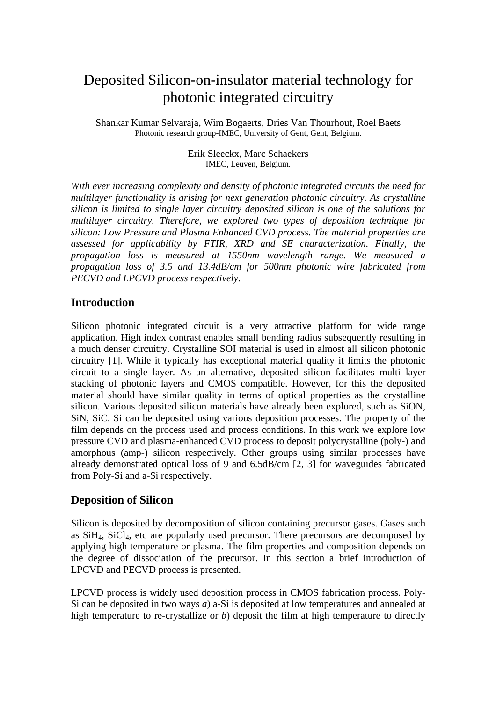# Deposited Silicon-on-insulator material technology for photonic integrated circuitry

Shankar Kumar Selvaraja, Wim Bogaerts, Dries Van Thourhout, Roel Baets Photonic research group-IMEC, University of Gent, Gent, Belgium.

> Erik Sleeckx, Marc Schaekers IMEC, Leuven, Belgium.

*With ever increasing complexity and density of photonic integrated circuits the need for multilayer functionality is arising for next generation photonic circuitry. As crystalline silicon is limited to single layer circuitry deposited silicon is one of the solutions for multilayer circuitry. Therefore, we explored two types of deposition technique for silicon: Low Pressure and Plasma Enhanced CVD process. The material properties are assessed for applicability by FTIR, XRD and SE characterization. Finally, the propagation loss is measured at 1550nm wavelength range. We measured a propagation loss of 3.5 and 13.4dB/cm for 500nm photonic wire fabricated from PECVD and LPCVD process respectively.* 

## **Introduction**

Silicon photonic integrated circuit is a very attractive platform for wide range application. High index contrast enables small bending radius subsequently resulting in a much denser circuitry. Crystalline SOI material is used in almost all silicon photonic circuitry [1]. While it typically has exceptional material quality it limits the photonic circuit to a single layer. As an alternative, deposited silicon facilitates multi layer stacking of photonic layers and CMOS compatible. However, for this the deposited material should have similar quality in terms of optical properties as the crystalline silicon. Various deposited silicon materials have already been explored, such as SiON, SiN, SiC. Si can be deposited using various deposition processes. The property of the film depends on the process used and process conditions. In this work we explore low pressure CVD and plasma-enhanced CVD process to deposit polycrystalline (poly-) and amorphous (amp-) silicon respectively. Other groups using similar processes have already demonstrated optical loss of 9 and 6.5dB/cm [2, 3] for waveguides fabricated from Poly-Si and a-Si respectively.

## **Deposition of Silicon**

Silicon is deposited by decomposition of silicon containing precursor gases. Gases such as SiH4, SiCl4, etc are popularly used precursor. There precursors are decomposed by applying high temperature or plasma. The film properties and composition depends on the degree of dissociation of the precursor. In this section a brief introduction of LPCVD and PECVD process is presented.

LPCVD process is widely used deposition process in CMOS fabrication process. Poly-Si can be deposited in two ways *a*) a-Si is deposited at low temperatures and annealed at high temperature to re-crystallize or *b*) deposit the film at high temperature to directly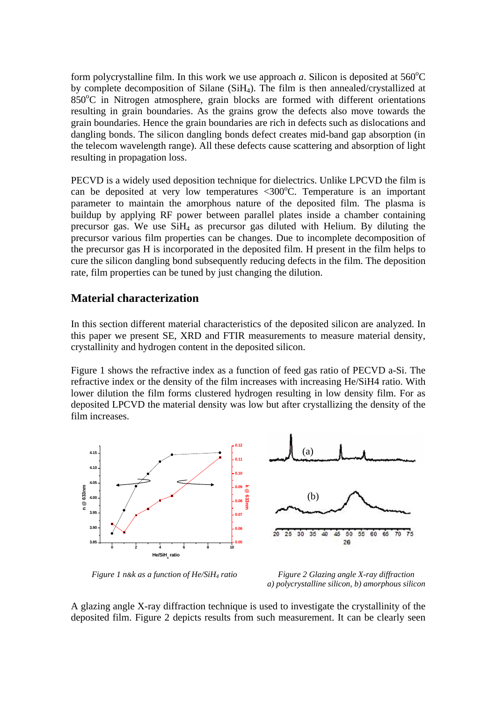form polycrystalline film. In this work we use approach  $a$ . Silicon is deposited at  $560^{\circ}$ C by complete decomposition of Silane (SiH4). The film is then annealed/crystallized at 850°C in Nitrogen atmosphere, grain blocks are formed with different orientations resulting in grain boundaries. As the grains grow the defects also move towards the grain boundaries. Hence the grain boundaries are rich in defects such as dislocations and dangling bonds. The silicon dangling bonds defect creates mid-band gap absorption (in the telecom wavelength range). All these defects cause scattering and absorption of light resulting in propagation loss.

PECVD is a widely used deposition technique for dielectrics. Unlike LPCVD the film is can be deposited at very low temperatures <300 $^{\circ}$ C. Temperature is an important parameter to maintain the amorphous nature of the deposited film. The plasma is buildup by applying RF power between parallel plates inside a chamber containing precursor gas. We use SiH4 as precursor gas diluted with Helium. By diluting the precursor various film properties can be changes. Due to incomplete decomposition of the precursor gas H is incorporated in the deposited film. H present in the film helps to cure the silicon dangling bond subsequently reducing defects in the film. The deposition rate, film properties can be tuned by just changing the dilution.

# **Material characterization**

In this section different material characteristics of the deposited silicon are analyzed. In this paper we present SE, XRD and FTIR measurements to measure material density, crystallinity and hydrogen content in the deposited silicon.

Figure 1 shows the refractive index as a function of feed gas ratio of PECVD a-Si. The refractive index or the density of the film increases with increasing He/SiH4 ratio. With lower dilution the film forms clustered hydrogen resulting in low density film. For as deposited LPCVD the material density was low but after crystallizing the density of the film increases.



*Figure 1 n&k as a function of He/SiH<sub>4</sub> ratio Figure 2 Glazing angle X-ray diffraction* 

*a) polycrystalline silicon, b) amorphous silicon* 

A glazing angle X-ray diffraction technique is used to investigate the crystallinity of the deposited film. Figure 2 depicts results from such measurement. It can be clearly seen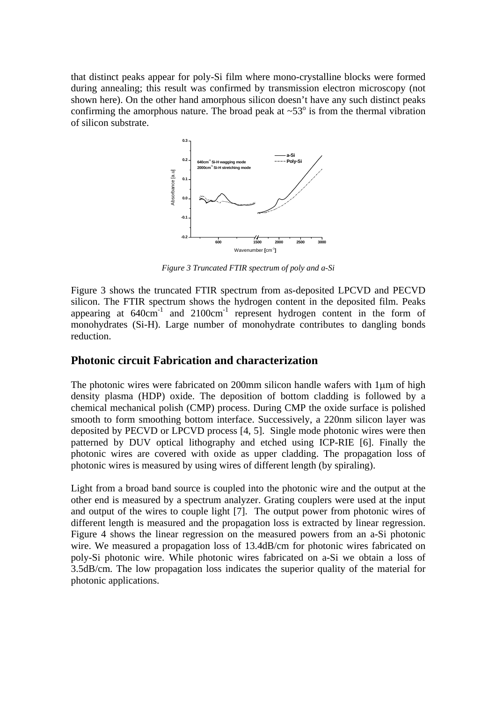that distinct peaks appear for poly-Si film where mono-crystalline blocks were formed during annealing; this result was confirmed by transmission electron microscopy (not shown here). On the other hand amorphous silicon doesn't have any such distinct peaks confirming the amorphous nature. The broad peak at  $\sim 53^\circ$  is from the thermal vibration of silicon substrate.



*Figure 3 Truncated FTIR spectrum of poly and a-Si* 

Figure 3 shows the truncated FTIR spectrum from as-deposited LPCVD and PECVD silicon. The FTIR spectrum shows the hydrogen content in the deposited film. Peaks appearing at 640cm<sup>-1</sup> and 2100cm<sup>-1</sup> represent hydrogen content in the form of monohydrates (Si-H). Large number of monohydrate contributes to dangling bonds reduction.

## **Photonic circuit Fabrication and characterization**

The photonic wires were fabricated on 200mm silicon handle wafers with 1μm of high density plasma (HDP) oxide. The deposition of bottom cladding is followed by a chemical mechanical polish (CMP) process. During CMP the oxide surface is polished smooth to form smoothing bottom interface. Successively, a 220nm silicon layer was deposited by PECVD or LPCVD process [4, 5]. Single mode photonic wires were then patterned by DUV optical lithography and etched using ICP-RIE [6]. Finally the photonic wires are covered with oxide as upper cladding. The propagation loss of photonic wires is measured by using wires of different length (by spiraling).

Light from a broad band source is coupled into the photonic wire and the output at the other end is measured by a spectrum analyzer. Grating couplers were used at the input and output of the wires to couple light [7]. The output power from photonic wires of different length is measured and the propagation loss is extracted by linear regression. Figure 4 shows the linear regression on the measured powers from an a-Si photonic wire. We measured a propagation loss of 13.4dB/cm for photonic wires fabricated on poly-Si photonic wire. While photonic wires fabricated on a-Si we obtain a loss of 3.5dB/cm. The low propagation loss indicates the superior quality of the material for photonic applications.